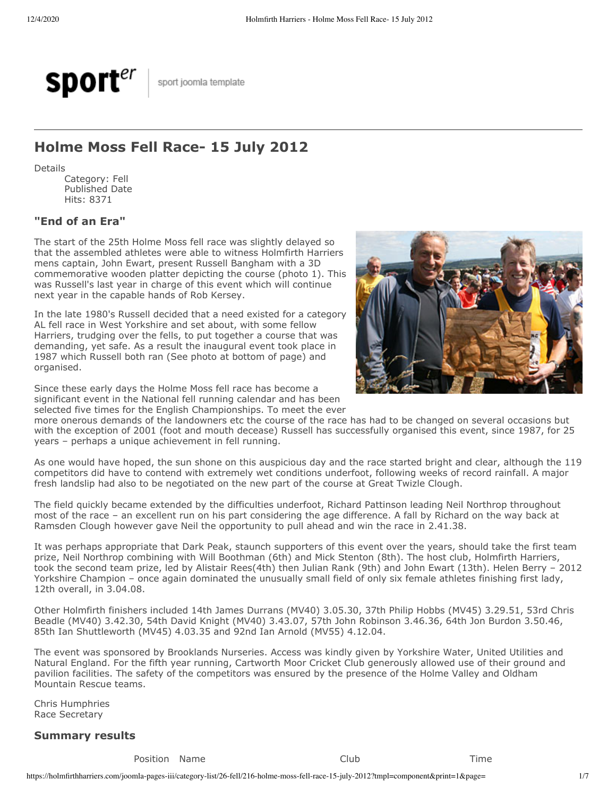

sport joomla template

# **Holme Moss Fell Race- 15 July 2012**

Details

Category: Fell Published Date Hits: 8371

## **"End of an Era"**

The start of the 25th Holme Moss fell race was slightly delayed so that the assembled athletes were able to witness Holmfirth Harriers mens captain, John Ewart, present Russell Bangham with a 3D commemorative wooden platter depicting the course (photo 1). This was Russell's last year in charge of this event which will continue next year in the capable hands of Rob Kersey.

In the late 1980's Russell decided that a need existed for a category AL fell race in West Yorkshire and set about, with some fellow Harriers, trudging over the fells, to put together a course that was demanding, yet safe. As a result the inaugural event took place in 1987 which Russell both ran (See photo at bottom of page) and organised.

Since these early days the Holme Moss fell race has become a significant event in the National fell running calendar and has been selected five times for the English Championships. To meet the ever



more onerous demands of the landowners etc the course of the race has had to be changed on several occasions but with the exception of 2001 (foot and mouth decease) Russell has successfully organised this event, since 1987, for 25 years – perhaps a unique achievement in fell running.

As one would have hoped, the sun shone on this auspicious day and the race started bright and clear, although the 119 competitors did have to contend with extremely wet conditions underfoot, following weeks of record rainfall. A major fresh landslip had also to be negotiated on the new part of the course at Great Twizle Clough.

The field quickly became extended by the difficulties underfoot, Richard Pattinson leading Neil Northrop throughout most of the race – an excellent run on his part considering the age difference. A fall by Richard on the way back at Ramsden Clough however gave Neil the opportunity to pull ahead and win the race in 2.41.38.

It was perhaps appropriate that Dark Peak, staunch supporters of this event over the years, should take the first team prize, Neil Northrop combining with Will Boothman (6th) and Mick Stenton (8th). The host club, Holmfirth Harriers, took the second team prize, led by Alistair Rees(4th) then Julian Rank (9th) and John Ewart (13th). Helen Berry – 2012 Yorkshire Champion – once again dominated the unusually small field of only six female athletes finishing first lady, 12th overall, in 3.04.08.

Other Holmfirth finishers included 14th James Durrans (MV40) 3.05.30, 37th Philip Hobbs (MV45) 3.29.51, 53rd Chris Beadle (MV40) 3.42.30, 54th David Knight (MV40) 3.43.07, 57th John Robinson 3.46.36, 64th Jon Burdon 3.50.46, 85th Ian Shuttleworth (MV45) 4.03.35 and 92nd Ian Arnold (MV55) 4.12.04.

The event was sponsored by Brooklands Nurseries. Access was kindly given by Yorkshire Water, United Utilities and Natural England. For the fifth year running, Cartworth Moor Cricket Club generously allowed use of their ground and pavilion facilities. The safety of the competitors was ensured by the presence of the Holme Valley and Oldham Mountain Rescue teams.

Chris Humphries Race Secretary

### **Summary results**

Position Name **Club** Club Time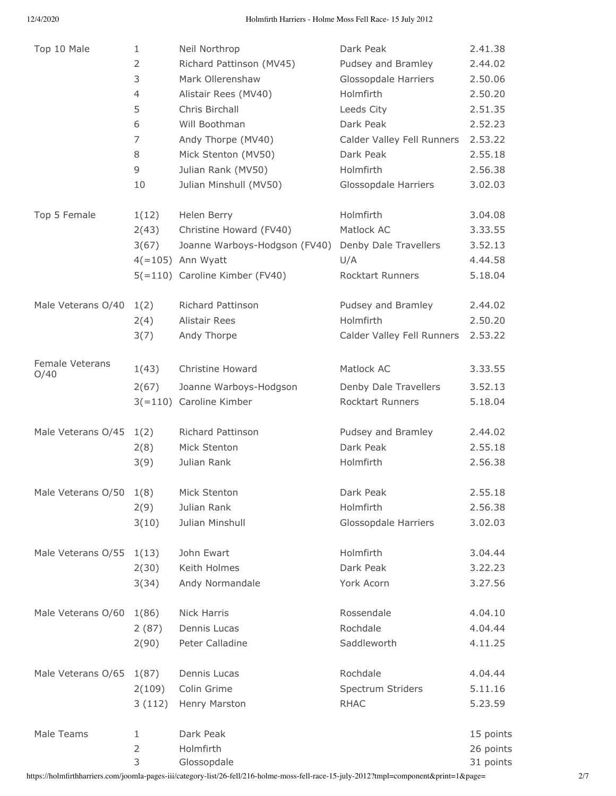| Top 10 Male             | 1                                   | Neil Northrop                                                                                                                    | Dark Peak                                                                          | 2.41.38                                             |
|-------------------------|-------------------------------------|----------------------------------------------------------------------------------------------------------------------------------|------------------------------------------------------------------------------------|-----------------------------------------------------|
|                         | 2                                   | Richard Pattinson (MV45)                                                                                                         | Pudsey and Bramley                                                                 | 2.44.02                                             |
|                         | 3                                   | Mark Ollerenshaw                                                                                                                 | Glossopdale Harriers                                                               | 2.50.06                                             |
|                         | $\overline{4}$                      | Alistair Rees (MV40)                                                                                                             | Holmfirth                                                                          | 2.50.20                                             |
|                         | 5                                   | Chris Birchall                                                                                                                   | Leeds City                                                                         | 2.51.35                                             |
|                         | 6                                   | Will Boothman                                                                                                                    | Dark Peak                                                                          | 2.52.23                                             |
|                         | 7                                   | Andy Thorpe (MV40)                                                                                                               | Calder Valley Fell Runners                                                         | 2.53.22                                             |
|                         | 8                                   | Mick Stenton (MV50)                                                                                                              | Dark Peak                                                                          | 2.55.18                                             |
|                         | 9                                   | Julian Rank (MV50)                                                                                                               | Holmfirth                                                                          | 2.56.38                                             |
|                         | 10                                  | Julian Minshull (MV50)                                                                                                           | Glossopdale Harriers                                                               | 3.02.03                                             |
| Top 5 Female            | 1(12)<br>2(43)<br>3(67)             | Helen Berry<br>Christine Howard (FV40)<br>Joanne Warboys-Hodgson (FV40)<br>$4(=105)$ Ann Wyatt<br>5(=110) Caroline Kimber (FV40) | Holmfirth<br>Matlock AC<br>Denby Dale Travellers<br>U/A<br><b>Rocktart Runners</b> | 3.04.08<br>3.33.55<br>3.52.13<br>4.44.58<br>5.18.04 |
| Male Veterans O/40      | 1(2)                                | Richard Pattinson                                                                                                                | Pudsey and Bramley                                                                 | 2.44.02                                             |
|                         | 2(4)                                | <b>Alistair Rees</b>                                                                                                             | Holmfirth                                                                          | 2.50.20                                             |
|                         | 3(7)                                | Andy Thorpe                                                                                                                      | Calder Valley Fell Runners                                                         | 2.53.22                                             |
| Female Veterans<br>O/40 | 1(43)<br>2(67)                      | Christine Howard<br>Joanne Warboys-Hodgson<br>3(=110) Caroline Kimber                                                            | Matlock AC<br>Denby Dale Travellers<br><b>Rocktart Runners</b>                     | 3.33.55<br>3.52.13<br>5.18.04                       |
| Male Veterans O/45      | 1(2)                                | Richard Pattinson                                                                                                                | Pudsey and Bramley                                                                 | 2.44.02                                             |
|                         | 2(8)                                | Mick Stenton                                                                                                                     | Dark Peak                                                                          | 2.55.18                                             |
|                         | 3(9)                                | Julian Rank                                                                                                                      | Holmfirth                                                                          | 2.56.38                                             |
| Male Veterans O/50      | 1(8)                                | Mick Stenton                                                                                                                     | Dark Peak                                                                          | 2.55.18                                             |
|                         | 2(9)                                | Julian Rank                                                                                                                      | Holmfirth                                                                          | 2.56.38                                             |
|                         | 3(10)                               | Julian Minshull                                                                                                                  | Glossopdale Harriers                                                               | 3.02.03                                             |
| Male Veterans O/55      | 1(13)                               | John Ewart                                                                                                                       | Holmfirth                                                                          | 3.04.44                                             |
|                         | 2(30)                               | Keith Holmes                                                                                                                     | Dark Peak                                                                          | 3.22.23                                             |
|                         | 3(34)                               | Andy Normandale                                                                                                                  | York Acorn                                                                         | 3.27.56                                             |
| Male Veterans O/60      | 1(86)                               | Nick Harris                                                                                                                      | Rossendale                                                                         | 4.04.10                                             |
|                         | 2(87)                               | Dennis Lucas                                                                                                                     | Rochdale                                                                           | 4.04.44                                             |
|                         | 2(90)                               | Peter Calladine                                                                                                                  | Saddleworth                                                                        | 4.11.25                                             |
| Male Veterans O/65      | 1(87)                               | Dennis Lucas                                                                                                                     | Rochdale                                                                           | 4.04.44                                             |
|                         | 2(109)                              | Colin Grime                                                                                                                      | Spectrum Striders                                                                  | 5.11.16                                             |
|                         | 3(112)                              | Henry Marston                                                                                                                    | <b>RHAC</b>                                                                        | 5.23.59                                             |
| Male Teams              | $\mathbf{1}$<br>$\overline{2}$<br>3 | Dark Peak<br>Holmfirth<br>Glossopdale                                                                                            |                                                                                    | 15 points<br>26 points<br>31 points                 |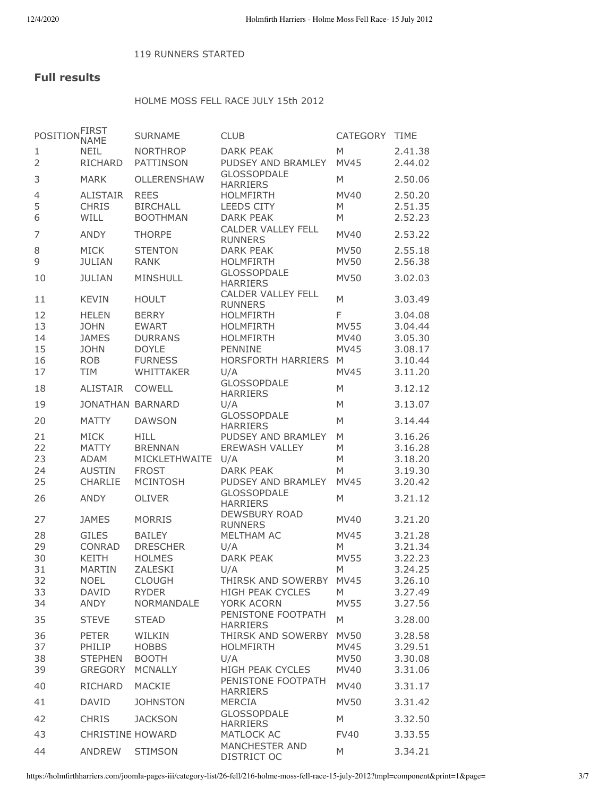#### 119 RUNNERS STARTED

# **Full results**

## HOLME MOSS FELL RACE JULY 15th 2012

| POSITION FIRST | <b>NAME</b>                  | <b>SURNAME</b>                  | <b>CLUB</b>                                   | <b>CATEGORY</b>  | <b>TIME</b>        |
|----------------|------------------------------|---------------------------------|-----------------------------------------------|------------------|--------------------|
| 1              | <b>NEIL</b>                  | <b>NORTHROP</b>                 | <b>DARK PEAK</b>                              | M                | 2.41.38            |
| $\overline{2}$ | <b>RICHARD</b>               | <b>PATTINSON</b>                | PUDSEY AND BRAMLEY                            | <b>MV45</b>      | 2.44.02            |
| 3              | <b>MARK</b>                  | OLLERENSHAW                     | <b>GLOSSOPDALE</b><br><b>HARRIERS</b>         | M                | 2.50.06            |
| 4              | <b>ALISTAIR</b>              | <b>REES</b>                     | <b>HOLMFIRTH</b>                              | MV40             | 2.50.20            |
| 5              | <b>CHRIS</b>                 | <b>BIRCHALL</b>                 | <b>LEEDS CITY</b>                             | M                | 2.51.35            |
| 6              | WILL                         | <b>BOOTHMAN</b>                 | <b>DARK PEAK</b><br><b>CALDER VALLEY FELL</b> | M                | 2.52.23            |
| 7              | <b>ANDY</b>                  | <b>THORPE</b>                   | <b>RUNNERS</b>                                | <b>MV40</b>      | 2.53.22            |
| 8              | <b>MICK</b>                  | <b>STENTON</b>                  | <b>DARK PEAK</b>                              | <b>MV50</b>      | 2.55.18            |
| 9              | <b>JULIAN</b>                | <b>RANK</b>                     | <b>HOLMFIRTH</b>                              | <b>MV50</b>      | 2.56.38            |
| 10             | <b>JULIAN</b>                | <b>MINSHULL</b>                 | <b>GLOSSOPDALE</b><br><b>HARRIERS</b>         | <b>MV50</b>      | 3.02.03            |
| 11             | <b>KEVIN</b>                 | <b>HOULT</b>                    | <b>CALDER VALLEY FELL</b><br><b>RUNNERS</b>   | M                | 3.03.49            |
| 12             | <b>HELEN</b>                 | <b>BERRY</b>                    | <b>HOLMFIRTH</b>                              | F                | 3.04.08            |
| 13             | <b>JOHN</b>                  | <b>EWART</b>                    | <b>HOLMFIRTH</b>                              | <b>MV55</b>      | 3.04.44            |
| 14             | <b>JAMES</b>                 | <b>DURRANS</b>                  | <b>HOLMFIRTH</b>                              | <b>MV40</b>      | 3.05.30            |
| 15             | <b>JOHN</b>                  | <b>DOYLE</b>                    | PENNINE                                       | <b>MV45</b>      | 3.08.17            |
| 16<br>17       | <b>ROB</b><br><b>TIM</b>     | <b>FURNESS</b><br>WHITTAKER     | <b>HORSFORTH HARRIERS</b><br>U/A              | M<br><b>MV45</b> | 3.10.44<br>3.11.20 |
|                |                              |                                 | <b>GLOSSOPDALE</b>                            |                  |                    |
| 18             | <b>ALISTAIR</b>              | <b>COWELL</b>                   | <b>HARRIERS</b>                               | M                | 3.12.12            |
| 19             | <b>JONATHAN BARNARD</b>      |                                 | U/A                                           | M                | 3.13.07            |
| 20             | <b>MATTY</b>                 | <b>DAWSON</b>                   | <b>GLOSSOPDALE</b><br><b>HARRIERS</b>         | M                | 3.14.44            |
| 21             | <b>MICK</b>                  | <b>HILL</b>                     | PUDSEY AND BRAMLEY                            | M                | 3.16.26            |
| 22             | <b>MATTY</b>                 | <b>BRENNAN</b>                  | <b>EREWASH VALLEY</b>                         | M                | 3.16.28            |
| 23             | <b>ADAM</b>                  | MICKLETHWAITE                   | U/A                                           | M                | 3.18.20            |
| 24<br>25       | <b>AUSTIN</b><br>CHARLIE     | <b>FROST</b><br><b>MCINTOSH</b> | <b>DARK PEAK</b><br>PUDSEY AND BRAMLEY        | M<br><b>MV45</b> | 3.19.30<br>3.20.42 |
|                |                              |                                 | <b>GLOSSOPDALE</b>                            |                  |                    |
| 26             | <b>ANDY</b>                  | <b>OLIVER</b>                   | <b>HARRIERS</b>                               | M                | 3.21.12            |
| 27             | <b>JAMES</b>                 | <b>MORRIS</b>                   | <b>DEWSBURY ROAD</b><br><b>RUNNERS</b>        | MV40             | 3.21.20            |
| 28             | <b>GILES</b>                 | <b>BAILEY</b>                   | MELTHAM AC                                    | <b>MV45</b>      | 3.21.28            |
| 29             | <b>CONRAD</b>                | <b>DRESCHER</b>                 | U/A                                           | M                | 3.21.34            |
| 30             | <b>KEITH</b>                 | <b>HOLMES</b>                   | <b>DARK PEAK</b>                              | <b>MV55</b>      | 3.22.23            |
| 31<br>32       | <b>MARTIN</b><br><b>NOEL</b> | ZALESKI<br><b>CLOUGH</b>        | U/A<br>THIRSK AND SOWERBY                     | M<br><b>MV45</b> | 3.24.25<br>3.26.10 |
| 33             | <b>DAVID</b>                 | <b>RYDER</b>                    | <b>HIGH PEAK CYCLES</b>                       | M                | 3.27.49            |
| 34             | <b>ANDY</b>                  | <b>NORMANDALE</b>               | YORK ACORN                                    | <b>MV55</b>      | 3.27.56            |
| 35             | <b>STEVE</b>                 | <b>STEAD</b>                    | PENISTONE FOOTPATH<br><b>HARRIERS</b>         | M                | 3.28.00            |
| 36             | <b>PETER</b>                 | WILKIN                          | THIRSK AND SOWERBY                            | <b>MV50</b>      | 3.28.58            |
| 37             | PHILIP                       | <b>HOBBS</b>                    | <b>HOLMFIRTH</b>                              | <b>MV45</b>      | 3.29.51            |
| 38             | <b>STEPHEN</b>               | <b>BOOTH</b>                    | U/A                                           | <b>MV50</b>      | 3.30.08            |
| 39             | <b>GREGORY</b>               | <b>MCNALLY</b>                  | <b>HIGH PEAK CYCLES</b>                       | <b>MV40</b>      | 3.31.06            |
| 40             | <b>RICHARD</b>               | MACKIE                          | PENISTONE FOOTPATH<br><b>HARRIERS</b>         | <b>MV40</b>      | 3.31.17            |
| 41             | <b>DAVID</b>                 | <b>JOHNSTON</b>                 | <b>MERCIA</b>                                 | <b>MV50</b>      | 3.31.42            |
| 42             | <b>CHRIS</b>                 | <b>JACKSON</b>                  | <b>GLOSSOPDALE</b><br><b>HARRIERS</b>         | M                | 3.32.50            |
| 43             | <b>CHRISTINE HOWARD</b>      |                                 | MATLOCK AC                                    | <b>FV40</b>      | 3.33.55            |
| 44             | <b>ANDREW</b>                | <b>STIMSON</b>                  | <b>MANCHESTER AND</b><br><b>DISTRICT OC</b>   | M                | 3.34.21            |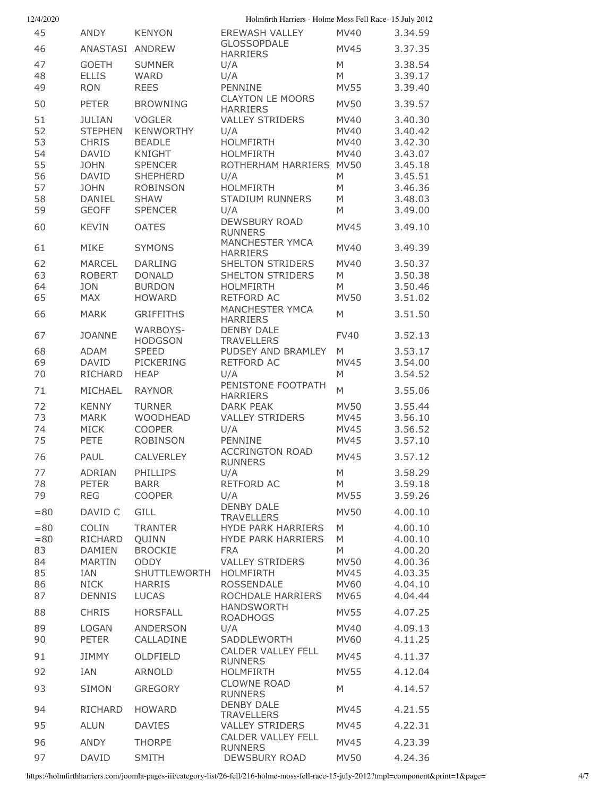| 12/4/2020 |                              |                                   | Holmfirth Harriers - Holme Moss Fell Race- 15 July 2012 |                            |                    |
|-----------|------------------------------|-----------------------------------|---------------------------------------------------------|----------------------------|--------------------|
| 45        | <b>ANDY</b>                  | <b>KENYON</b>                     | <b>EREWASH VALLEY</b>                                   | MV40                       | 3.34.59            |
| 46        | ANASTASI                     | <b>ANDREW</b>                     | <b>GLOSSOPDALE</b><br><b>HARRIERS</b>                   | <b>MV45</b>                | 3.37.35            |
| 47        | <b>GOETH</b>                 | <b>SUMNER</b>                     | U/A                                                     | M                          | 3.38.54            |
| 48        | <b>ELLIS</b>                 | <b>WARD</b>                       | U/A                                                     | M                          | 3.39.17            |
| 49        | <b>RON</b>                   | <b>REES</b>                       | PENNINE<br><b>CLAYTON LE MOORS</b>                      | <b>MV55</b>                | 3.39.40            |
| 50        | <b>PETER</b>                 | <b>BROWNING</b>                   | <b>HARRIERS</b>                                         | <b>MV50</b>                | 3.39.57            |
| 51        | <b>JULIAN</b>                | <b>VOGLER</b>                     | <b>VALLEY STRIDERS</b>                                  | <b>MV40</b>                | 3.40.30            |
| 52        | <b>STEPHEN</b>               | <b>KENWORTHY</b>                  | U/A                                                     | MV40                       | 3.40.42            |
| 53<br>54  | <b>CHRIS</b><br><b>DAVID</b> | <b>BEADLE</b><br><b>KNIGHT</b>    | <b>HOLMFIRTH</b><br><b>HOLMFIRTH</b>                    | MV40<br><b>MV40</b>        | 3.42.30<br>3.43.07 |
| 55        | <b>JOHN</b>                  | <b>SPENCER</b>                    | ROTHERHAM HARRIERS                                      | <b>MV50</b>                | 3.45.18            |
| 56        | DAVID                        | <b>SHEPHERD</b>                   | U/A                                                     | M                          | 3.45.51            |
| 57        | <b>JOHN</b>                  | <b>ROBINSON</b>                   | <b>HOLMFIRTH</b>                                        | M                          | 3.46.36            |
| 58<br>59  | DANIEL                       | <b>SHAW</b><br><b>SPENCER</b>     | <b>STADIUM RUNNERS</b>                                  | M<br>M                     | 3.48.03<br>3.49.00 |
|           | <b>GEOFF</b>                 |                                   | U/A<br><b>DEWSBURY ROAD</b>                             |                            |                    |
| 60        | <b>KEVIN</b>                 | <b>OATES</b>                      | <b>RUNNERS</b>                                          | <b>MV45</b>                | 3.49.10            |
| 61        | <b>MIKE</b>                  | <b>SYMONS</b>                     | <b>MANCHESTER YMCA</b><br><b>HARRIERS</b>               | MV40                       | 3.49.39            |
| 62        | <b>MARCEL</b>                | <b>DARLING</b>                    | <b>SHELTON STRIDERS</b>                                 | MV40                       | 3.50.37            |
| 63        | <b>ROBERT</b>                | <b>DONALD</b>                     | <b>SHELTON STRIDERS</b>                                 | M                          | 3.50.38            |
| 64<br>65  | <b>JON</b><br><b>MAX</b>     | <b>BURDON</b><br><b>HOWARD</b>    | <b>HOLMFIRTH</b><br>RETFORD AC                          | M<br><b>MV50</b>           | 3.50.46<br>3.51.02 |
|           |                              |                                   | <b>MANCHESTER YMCA</b>                                  |                            |                    |
| 66        | <b>MARK</b>                  | <b>GRIFFITHS</b>                  | <b>HARRIERS</b>                                         | M                          | 3.51.50            |
| 67        | <b>JOANNE</b>                | <b>WARBOYS-</b><br><b>HODGSON</b> | <b>DENBY DALE</b><br><b>TRAVELLERS</b>                  | <b>FV40</b>                | 3.52.13            |
| 68        | <b>ADAM</b>                  | <b>SPEED</b>                      | PUDSEY AND BRAMLEY                                      | M                          | 3.53.17            |
| 69        | DAVID                        | <b>PICKERING</b>                  | RETFORD AC                                              | <b>MV45</b>                | 3.54.00            |
| 70        | <b>RICHARD</b>               | <b>HEAP</b>                       | U/A<br>PENISTONE FOOTPATH                               | M                          | 3.54.52            |
| 71        | MICHAEL                      | <b>RAYNOR</b>                     | <b>HARRIERS</b>                                         | M                          | 3.55.06            |
| 72        | <b>KENNY</b>                 | <b>TURNER</b>                     | DARK PEAK                                               | <b>MV50</b>                | 3.55.44            |
| 73<br>74  | <b>MARK</b><br><b>MICK</b>   | <b>WOODHEAD</b><br><b>COOPER</b>  | <b>VALLEY STRIDERS</b><br>U/A                           | <b>MV45</b><br><b>MV45</b> | 3.56.10<br>3.56.52 |
| 75        | <b>PETE</b>                  | <b>ROBINSON</b>                   | PENNINE                                                 | <b>MV45</b>                | 3.57.10            |
| 76        | PAUL                         | <b>CALVERLEY</b>                  | <b>ACCRINGTON ROAD</b>                                  | MV45                       | 3.57.12            |
| 77        | <b>ADRIAN</b>                | <b>PHILLIPS</b>                   | <b>RUNNERS</b><br>U/A                                   | M                          | 3.58.29            |
| 78        | <b>PETER</b>                 | <b>BARR</b>                       | RETFORD AC                                              | ${\sf M}$                  | 3.59.18            |
| 79        | <b>REG</b>                   | <b>COOPER</b>                     | U/A                                                     | <b>MV55</b>                | 3.59.26            |
| $= 80$    | DAVID C                      | <b>GILL</b>                       | <b>DENBY DALE</b>                                       | <b>MV50</b>                | 4.00.10            |
| $= 80$    | <b>COLIN</b>                 | <b>TRANTER</b>                    | <b>TRAVELLERS</b><br><b>HYDE PARK HARRIERS</b>          | M                          | 4.00.10            |
| $= 80$    | RICHARD                      | QUINN                             | <b>HYDE PARK HARRIERS</b>                               | M                          | 4.00.10            |
| 83        | <b>DAMIEN</b>                | <b>BROCKIE</b>                    | <b>FRA</b>                                              | ${\sf M}$                  | 4.00.20            |
| 84        | <b>MARTIN</b>                | <b>ODDY</b>                       | <b>VALLEY STRIDERS</b>                                  | <b>MV50</b>                | 4.00.36            |
| 85<br>86  | IAN<br><b>NICK</b>           | SHUTTLEWORTH<br><b>HARRIS</b>     | <b>HOLMFIRTH</b><br><b>ROSSENDALE</b>                   | MV45<br>MV60               | 4.03.35<br>4.04.10 |
| 87        | <b>DENNIS</b>                | <b>LUCAS</b>                      | ROCHDALE HARRIERS                                       | MV65                       | 4.04.44            |
| 88        | <b>CHRIS</b>                 | <b>HORSFALL</b>                   | <b>HANDSWORTH</b>                                       | <b>MV55</b>                | 4.07.25            |
| 89        | LOGAN                        | <b>ANDERSON</b>                   | <b>ROADHOGS</b><br>U/A                                  | MV40                       | 4.09.13            |
| 90        | <b>PETER</b>                 | CALLADINE                         | SADDLEWORTH                                             | MV60                       | 4.11.25            |
| 91        | <b>JIMMY</b>                 | OLDFIELD                          | <b>CALDER VALLEY FELL</b><br><b>RUNNERS</b>             | MV45                       | 4.11.37            |
| 92        | <b>IAN</b>                   | <b>ARNOLD</b>                     | <b>HOLMFIRTH</b>                                        | <b>MV55</b>                | 4.12.04            |
| 93        | <b>SIMON</b>                 | <b>GREGORY</b>                    | <b>CLOWNE ROAD</b><br><b>RUNNERS</b>                    | M                          | 4.14.57            |
| 94        | <b>RICHARD</b>               | <b>HOWARD</b>                     | <b>DENBY DALE</b>                                       | <b>MV45</b>                | 4.21.55            |
| 95        | <b>ALUN</b>                  | <b>DAVIES</b>                     | <b>TRAVELLERS</b><br><b>VALLEY STRIDERS</b>             | <b>MV45</b>                | 4.22.31            |
| 96        | ANDY                         | <b>THORPE</b>                     | CALDER VALLEY FELL                                      | MV45                       | 4.23.39            |
|           |                              |                                   | <b>RUNNERS</b>                                          |                            |                    |
| 97        | <b>DAVID</b>                 | <b>SMITH</b>                      | <b>DEWSBURY ROAD</b>                                    | <b>MV50</b>                | 4.24.36            |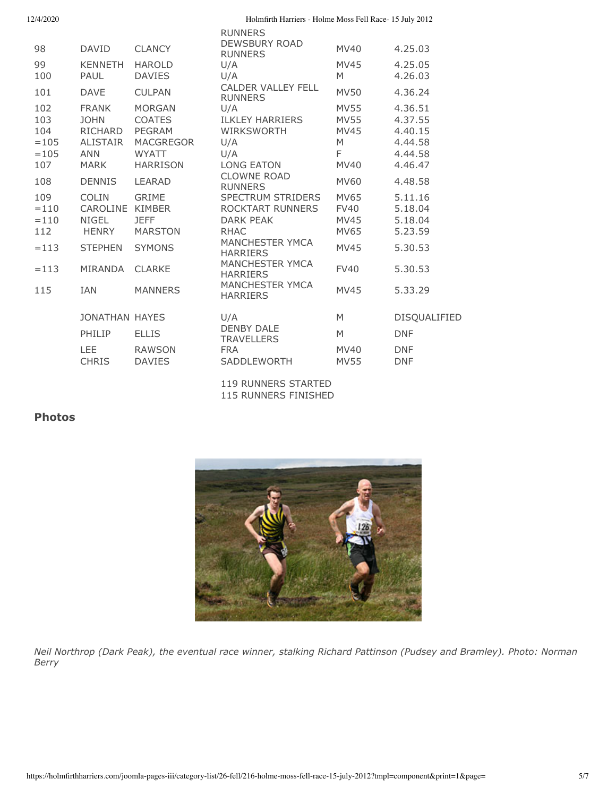| 12/4/2020 |
|-----------|
|           |

Holmfirth Harriers - Holme Moss Fell Race- 15 July 2012

| 98<br>99<br>100<br>101                                           | <b>DAVID</b><br><b>KENNETH</b><br>PAUL<br><b>DAVE</b>                                                                       | <b>CLANCY</b><br><b>HAROLD</b><br><b>DAVIES</b><br><b>CULPAN</b>                                                                    | <b>RUNNERS</b><br><b>DEWSBURY ROAD</b><br><b>RUNNERS</b><br>U/A<br>U/A<br><b>CALDER VALLEY FELL</b>                                                                                                                                              | <b>MV40</b><br><b>MV45</b><br>M<br><b>MV50</b>                                                  | 4.25.03<br>4.25.05<br>4.26.03<br>4.36.24                                             |
|------------------------------------------------------------------|-----------------------------------------------------------------------------------------------------------------------------|-------------------------------------------------------------------------------------------------------------------------------------|--------------------------------------------------------------------------------------------------------------------------------------------------------------------------------------------------------------------------------------------------|-------------------------------------------------------------------------------------------------|--------------------------------------------------------------------------------------|
| 102<br>103<br>104<br>$=105$<br>$=105$<br>107                     | <b>FRANK</b><br><b>JOHN</b><br>RICHARD<br><b>ALISTAIR</b><br><b>ANN</b><br><b>MARK</b>                                      | <b>MORGAN</b><br><b>COATES</b><br><b>PEGRAM</b><br><b>MACGREGOR</b><br><b>WYATT</b><br><b>HARRISON</b>                              | <b>RUNNERS</b><br>U/A<br><b>ILKLEY HARRIERS</b><br><b>WIRKSWORTH</b><br>U/A<br>U/A<br><b>LONG EATON</b>                                                                                                                                          | <b>MV55</b><br><b>MV55</b><br><b>MV45</b><br>M<br>F<br>MV40                                     | 4.36.51<br>4.37.55<br>4.40.15<br>4.44.58<br>4.44.58<br>4.46.47                       |
| 108<br>109<br>$=110$<br>$=110$<br>112<br>$=113$<br>$=113$<br>115 | <b>DENNIS</b><br><b>COLIN</b><br>CAROLINE<br><b>NIGEL</b><br><b>HENRY</b><br><b>STEPHEN</b><br><b>MIRANDA</b><br><b>IAN</b> | <b>LEARAD</b><br><b>GRIME</b><br><b>KIMBER</b><br><b>JEFF</b><br><b>MARSTON</b><br><b>SYMONS</b><br><b>CLARKE</b><br><b>MANNERS</b> | <b>CLOWNE ROAD</b><br><b>RUNNERS</b><br><b>SPECTRUM STRIDERS</b><br>ROCKTART RUNNERS<br>DARK PFAK<br><b>RHAC</b><br><b>MANCHESTER YMCA</b><br><b>HARRIERS</b><br><b>MANCHESTER YMCA</b><br><b>HARRIERS</b><br>MANCHESTER YMCA<br><b>HARRIERS</b> | <b>MV60</b><br>MV65<br><b>FV40</b><br>MV45<br>MV65<br><b>MV45</b><br><b>FV40</b><br><b>MV45</b> | 4.48.58<br>5.11.16<br>5.18.04<br>5.18.04<br>5.23.59<br>5.30.53<br>5.30.53<br>5.33.29 |
|                                                                  | <b>JONATHAN HAYES</b><br>PHILIP<br><b>LEE</b><br><b>CHRIS</b>                                                               | <b>ELLIS</b><br><b>RAWSON</b><br><b>DAVIES</b>                                                                                      | U/A<br><b>DENBY DALE</b><br><b>TRAVELLERS</b><br><b>FRA</b><br><b>SADDLEWORTH</b>                                                                                                                                                                | M<br>M<br>MV40<br><b>MV55</b>                                                                   | <b>DISQUALIFIED</b><br><b>DNF</b><br><b>DNF</b><br><b>DNF</b>                        |

119 RUNNERS STARTED 115 RUNNERS FINISHED

# **Photos**



*Neil Northrop (Dark Peak), the eventual race winner, stalking Richard Pattinson (Pudsey and Bramley). Photo: Norman Berry*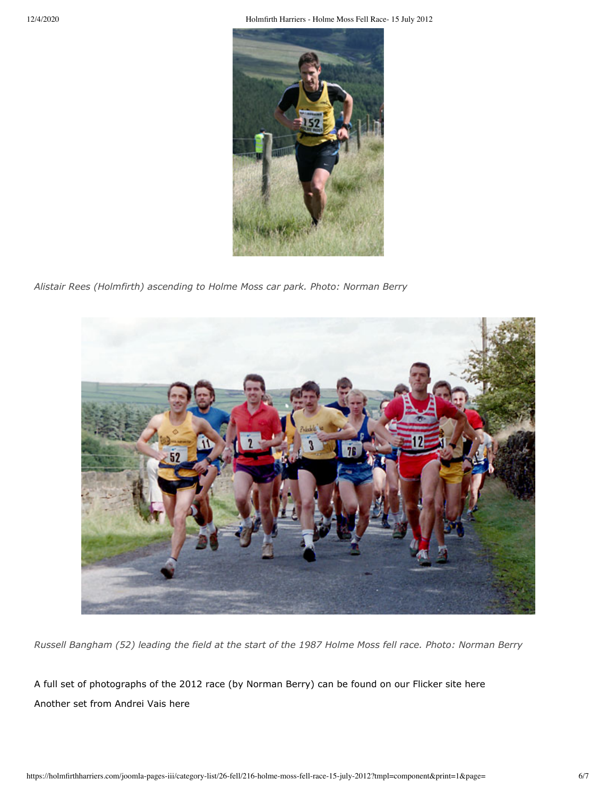12/4/2020 Holmfirth Harriers - Holme Moss Fell Race- 15 July 2012



*Alistair Rees (Holmfirth) ascending to Holme Moss car park. Photo: Norman Berry*



*Russell Bangham (52) leading the field at the start of the 1987 Holme Moss fell race. Photo: Norman Berry*

[A full set of photographs of the 2012 race \(by Norman Berry\) can be found on our Flicker site here](http://www.flickr.com/photos/hhac/sets/72157630599947110/) [Another set from Andrei Vais here](http://www.flickr.com/photos/hhac/sets/72157630719558030/)